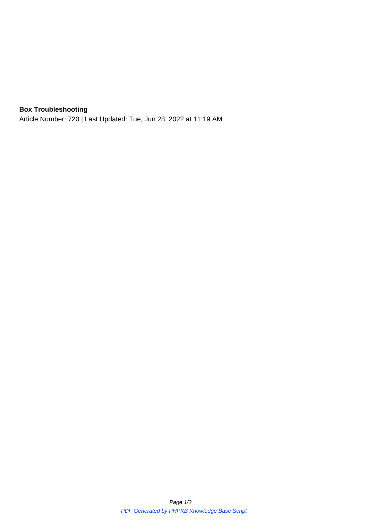## **Box Troubleshooting**

Article Number: 720 | Last Updated: Tue, Jun 28, 2022 at 11:19 AM